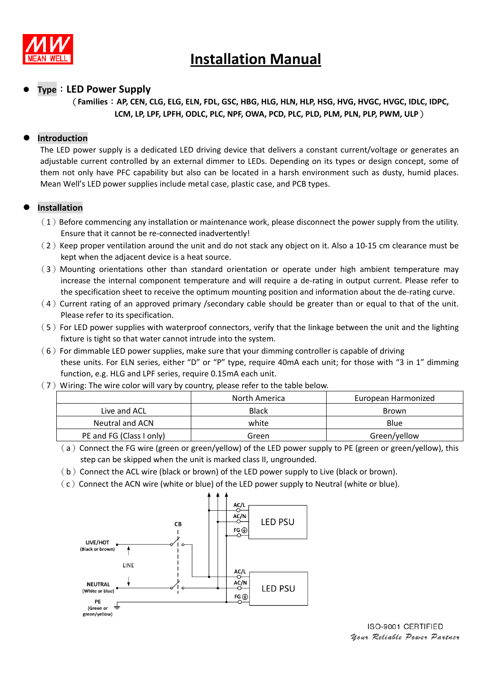

### **Type**:**LED Power Supply**

### (**Families**:**AP, CEN, CLG, ELG, ELN, FDL, GSC, HBG, HLG, HLN, HLP, HSG, HVG, HVGC, HVGC, IDLC, IDPC, LCM, LP, LPF, LPFH, ODLC, PLC, NPF, OWA, PCD, PLC, PLD, PLM, PLN, PLP, PWM, ULP**)

### **Introduction**

The LED power supply is a dedicated LED driving device that delivers a constant current/voltage or generates an adjustable current controlled by an external dimmer to LEDs. Depending on its types or design concept, some of them not only have PFC capability but also can be located in a harsh environment such as dusty, humid places. Mean Well's LED power supplies include metal case, plastic case, and PCB types.

### **Installation**

- $(1)$  Before commencing any installation or maintenance work, please disconnect the power supply from the utility. Ensure that it cannot be re-connected inadvertently!
- $(2)$  Keep proper ventilation around the unit and do not stack any object on it. Also a 10-15 cm clearance must be kept when the adjacent device is a heat source.
- (3)Mounting orientations other than standard orientation or operate under high ambient temperature may increase the internal component temperature and will require a de-rating in output current. Please refer to the specification sheet to receive the optimum mounting position and information about the de-rating curve.
- $(4)$  Current rating of an approved primary /secondary cable should be greater than or equal to that of the unit. Please refer to its specification.
- (5)For LED power supplies with waterproof connectors, verify that the linkage between the unit and the lighting fixture is tight so that water cannot intrude into the system.
- $(6)$  For dimmable LED power supplies, make sure that your dimming controller is capable of driving these units. For ELN series, either "D" or "P" type, require 40mA each unit; for those with "3 in 1" dimming function, e.g. HLG and LPF series, require 0.15mA each unit.
- $(7)$  Wiring: The wire color will vary by country, please refer to the table below.

|                          | North America | European Harmonized |
|--------------------------|---------------|---------------------|
| Live and ACL             | <b>Black</b>  | <b>Brown</b>        |
| Neutral and ACN          | white         | Blue                |
| PE and FG (Class I only) | Green         | Green/yellow        |

- $(a)$  Connect the FG wire (green or green/yellow) of the LED power supply to PE (green or green/yellow), this step can be skipped when the unit is marked class II, ungrounded.
- $(b)$  Connect the ACL wire (black or brown) of the LED power supply to Live (black or brown).
- $(c)$  Connect the ACN wire (white or blue) of the LED power supply to Neutral (white or blue).

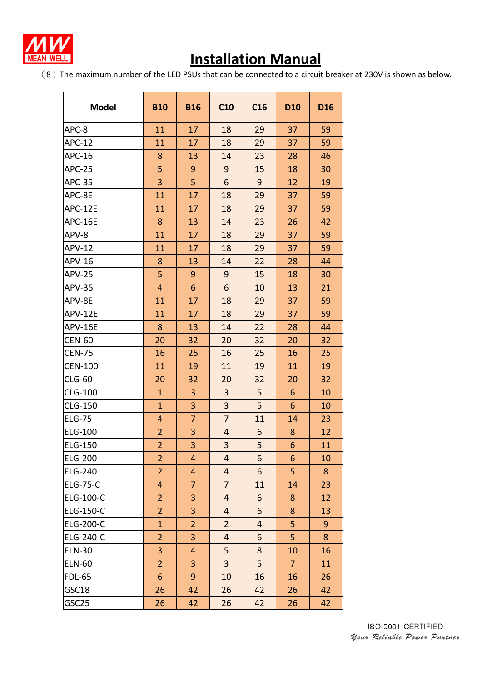

(8)The maximum number of the LED PSUs that can be connected to a circuit breaker at 230V is shown as below.

| <b>Model</b>     | <b>B10</b>     | <b>B16</b>     | C10                     | C16            | D <sub>10</sub> | <b>D16</b> |
|------------------|----------------|----------------|-------------------------|----------------|-----------------|------------|
| APC-8            | 11             | 17             | 18                      | 29             | 37              | 59         |
| <b>APC-12</b>    | 11             | 17             | 18                      | 29             | 37              | 59         |
| APC-16           | 8              | 13             | 14                      | 23             | 28              | 46         |
| <b>APC-25</b>    | 5              | 9              | 9                       | 15             | 18              | 30         |
| <b>APC-35</b>    | 3              | 5              | 6                       | 9              | 12              | 19         |
| APC-8E           | 11             | 17             | 18                      | 29             | 37              | 59         |
| APC-12E          | 11             | 17             | 18                      | 29             | 37              | 59         |
| APC-16E          | 8              | 13             | 14                      | 23             | 26              | 42         |
| APV-8            | 11             | 17             | 18                      | 29             | 37              | 59         |
| <b>APV-12</b>    | 11             | 17             | 18                      | 29             | 37              | 59         |
| APV-16           | 8              | 13             | 14                      | 22             | 28              | 44         |
| <b>APV-25</b>    | 5              | 9              | 9                       | 15             | 18              | 30         |
| <b>APV-35</b>    | $\overline{4}$ | 6              | 6                       | 10             | 13              | 21         |
| APV-8E           | 11             | 17             | 18                      | 29             | 37              | 59         |
| APV-12E          | 11             | 17             | 18                      | 29             | 37              | 59         |
| APV-16E          | 8              | 13             | 14                      | 22             | 28              | 44         |
| <b>CEN-60</b>    | 20             | 32             | 20                      | 32             | 20              | 32         |
| <b>CEN-75</b>    | 16             | 25             | 16                      | 25             | 16              | 25         |
| <b>CEN-100</b>   | 11             | 19             | 11                      | 19             | 11              | 19         |
| <b>CLG-60</b>    | 20             | 32             | 20                      | 32             | 20              | 32         |
| <b>CLG-100</b>   | $\mathbf{1}$   | 3              | 3                       | 5              | 6               | 10         |
| CLG-150          | $\mathbf{1}$   | 3              | 3                       | 5              | 6               | 10         |
| <b>ELG-75</b>    | 4              | $\overline{7}$ | $\overline{7}$          | 11             | 14              | 23         |
| <b>ELG-100</b>   | $\overline{2}$ | 3              | $\overline{4}$          | 6              | 8               | 12         |
| <b>ELG-150</b>   | $\overline{2}$ | $\overline{3}$ | $\overline{\mathbf{3}}$ | 5              | 6               | 11         |
| <b>ELG-200</b>   | $\overline{2}$ | $\overline{4}$ | $\overline{4}$          | 6              | 6               | 10         |
| <b>ELG-240</b>   | $\overline{2}$ | $\overline{4}$ | $\overline{4}$          | 6              | 5               | 8          |
| <b>ELG-75-C</b>  | 4              | $\overline{7}$ | $\overline{7}$          | 11             | 14              | 23         |
| ELG-100-C        | $\overline{2}$ | 3              | $\overline{4}$          | 6              | 8               | 12         |
| ELG-150-C        | $\overline{2}$ | 3              | $\overline{\mathbf{r}}$ | 6              | 8               | 13         |
| <b>ELG-200-C</b> | $\mathbf{1}$   | $\overline{2}$ | $\overline{2}$          | $\overline{4}$ | 5               | 9          |
| ELG-240-C        | $\overline{2}$ | 3              | $\overline{4}$          | 6              | 5               | 8          |
| <b>ELN-30</b>    | 3              | 4              | 5                       | 8              | 10              | 16         |
| <b>ELN-60</b>    | $\overline{2}$ | 3              | 3                       | 5              | $\overline{7}$  | 11         |
| <b>FDL-65</b>    | 6              | 9              | 10                      | 16             | 16              | 26         |
| GSC18            | 26             | 42             | 26                      | 42             | 26              | 42         |
| GSC25            | 26             | 42             | 26                      | 42             | 26              | 42         |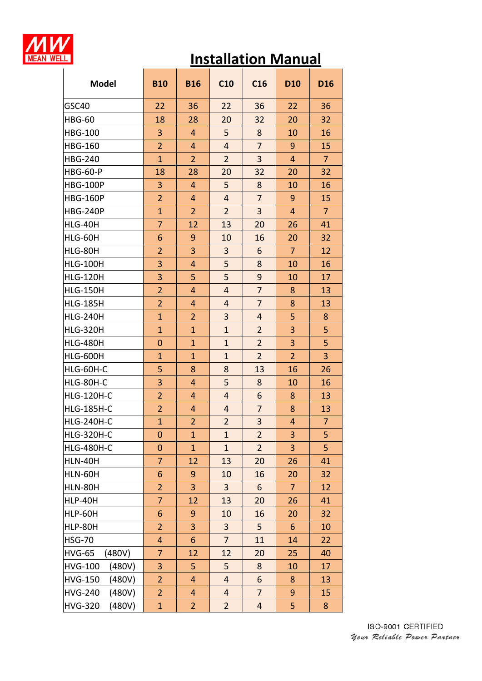

| <b>Model</b>             | <b>B10</b>     | <b>B16</b>     | C10                     | C16            | <b>D10</b>     | <b>D16</b>     |
|--------------------------|----------------|----------------|-------------------------|----------------|----------------|----------------|
| GSC40                    | 22             | 36             | 22                      | 36             | 22             | 36             |
| <b>HBG-60</b>            | 18             | 28             | 20                      | 32             | 20             | 32             |
| <b>HBG-100</b>           | 3              | 4              | 5                       | 8              | 10             | 16             |
| <b>HBG-160</b>           | $\overline{2}$ | 4              | $\overline{4}$          | $\overline{7}$ | 9              | 15             |
| <b>HBG-240</b>           | $\mathbf{1}$   | $\overline{2}$ | $\overline{2}$          | 3              | $\overline{4}$ | $\overline{7}$ |
| <b>HBG-60-P</b>          | 18             | 28             | 20                      | 32             | 20             | 32             |
| <b>HBG-100P</b>          | 3              | 4              | 5                       | 8              | 10             | 16             |
| <b>HBG-160P</b>          | $\overline{2}$ | $\overline{4}$ | $\overline{4}$          | $\overline{7}$ | 9              | 15             |
| <b>HBG-240P</b>          | $\mathbf{1}$   | $\overline{2}$ | $\overline{2}$          | 3              | $\overline{4}$ | $\overline{7}$ |
| HLG-40H                  | 7              | 12             | 13                      | 20             | 26             | 41             |
| HLG-60H                  | 6              | 9              | 10                      | 16             | 20             | 32             |
| HLG-80H                  | $\overline{2}$ | $\overline{3}$ | 3                       | 6              | $\overline{7}$ | 12             |
| <b>HLG-100H</b>          | 3              | $\overline{4}$ | 5                       | 8              | 10             | 16             |
| <b>HLG-120H</b>          | $\overline{3}$ | 5              | 5                       | 9              | 10             | 17             |
| <b>HLG-150H</b>          | $\overline{2}$ | 4              | $\overline{4}$          | $\overline{7}$ | 8              | 13             |
| <b>HLG-185H</b>          | $\overline{2}$ | 4              | $\overline{4}$          | $\overline{7}$ | 8              | 13             |
| <b>HLG-240H</b>          | $\mathbf{1}$   | $\overline{2}$ | $\overline{\mathbf{3}}$ | $\overline{4}$ | 5              | 8              |
| <b>HLG-320H</b>          | $\mathbf{1}$   | $\overline{1}$ | $\mathbf{1}$            | $\overline{2}$ | 3              | 5              |
| <b>HLG-480H</b>          | $\overline{0}$ | $\mathbf{1}$   | $\overline{1}$          | $\overline{2}$ | $\overline{3}$ | 5              |
| <b>HLG-600H</b>          | $\mathbf{1}$   | $\mathbf{1}$   | $\mathbf{1}$            | $\overline{2}$ | $\overline{2}$ | 3              |
| HLG-60H-C                | 5              | 8              | 8                       | 13             | 16             | 26             |
| HLG-80H-C                | 3              | 4              | 5                       | 8              | 10             | 16             |
| <b>HLG-120H-C</b>        | $\overline{2}$ | 4              | $\overline{4}$          | 6              | 8              | 13             |
| <b>HLG-185H-C</b>        | $\overline{2}$ | 4              | $\overline{4}$          | $\overline{7}$ | 8              | 13             |
| <b>HLG-240H-C</b>        | $\overline{1}$ | $\overline{2}$ | $\overline{2}$          | 3              | 4              | $\overline{7}$ |
| <b>HLG-320H-C</b>        | $\mathbf 0$    | $\mathbf{1}$   | $\mathbf{1}$            | $\overline{2}$ | 3              | 5              |
| HLG-480H-C               | $\mathbf 0$    | $\mathbf{1}$   | $\mathbf{1}$            | $\overline{2}$ | 3              | 5              |
| HLN-40H                  | 7              | 12             | 13                      | 20             | 26             | 41             |
| HLN-60H                  | 6              | 9              | 10                      | 16             | 20             | 32             |
| HLN-80H                  | $\overline{2}$ | 3              | 3                       | 6              | $\overline{7}$ | 12             |
| HLP-40H                  | $\overline{7}$ | 12             | 13                      | 20             | 26             | 41             |
| HLP-60H                  | 6              | 9              | 10                      | 16             | 20             | 32             |
| HLP-80H                  | $\overline{2}$ | 3              | 3                       | 5              | $6\phantom{1}$ | 10             |
| <b>HSG-70</b>            | 4              | 6              | 7                       | 11             | 14             | 22             |
| <b>HVG-65</b><br>(480V)  | $\overline{7}$ | 12             | 12                      | 20             | 25             | 40             |
| <b>HVG-100</b><br>(480V) | 3              | 5              | 5                       | 8              | 10             | 17             |
| <b>HVG-150</b><br>(480V) | $\overline{2}$ | $\overline{4}$ | $\overline{4}$          | 6              | 8              | 13             |
| <b>HVG-240</b><br>(480V) | $\overline{2}$ | $\overline{4}$ | $\overline{4}$          | $\overline{7}$ | 9              | 15             |
| <b>HVG-320</b><br>(480V) | $\mathbf{1}$   | $\overline{2}$ | $\overline{2}$          | $\overline{4}$ | 5              | 8              |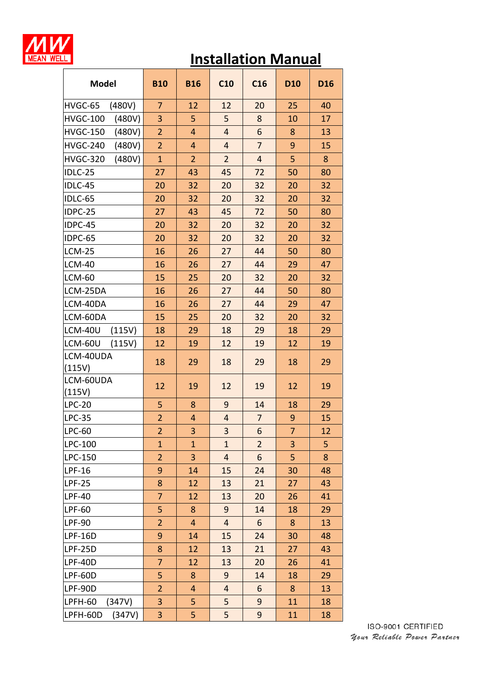

| <b>Model</b>              | <b>B10</b>     | <b>B16</b>     | C10                     | C16            | D <sub>10</sub> | D <sub>16</sub> |
|---------------------------|----------------|----------------|-------------------------|----------------|-----------------|-----------------|
| HVGC-65<br>(480V)         | $\overline{7}$ | 12             | 12                      | 20             | 25              | 40              |
| (480V)<br><b>HVGC-100</b> | 3              | 5              | 5                       | 8              | 10              | 17              |
| <b>HVGC-150</b><br>(480V) | $\overline{2}$ | $\overline{4}$ | $\overline{4}$          | 6              | 8               | 13              |
| <b>HVGC-240</b><br>(480V) | $\overline{2}$ | $\overline{4}$ | $\overline{4}$          | $\overline{7}$ | 9               | 15              |
| <b>HVGC-320</b><br>(480V) | $\mathbf{1}$   | $\overline{2}$ | $\overline{2}$          | $\overline{4}$ | 5               | 8               |
| IDLC-25                   | 27             | 43             | 45                      | 72             | 50              | 80              |
| IDLC-45                   | 20             | 32             | 20                      | 32             | 20              | 32              |
| IDLC-65                   | 20             | 32             | 20                      | 32             | 20              | 32              |
| IDPC-25                   | 27             | 43             | 45                      | 72             | 50              | 80              |
| IDPC-45                   | 20             | 32             | 20                      | 32             | 20              | 32              |
| IDPC-65                   | 20             | 32             | 20                      | 32             | 20              | 32              |
| <b>LCM-25</b>             | 16             | 26             | 27                      | 44             | 50              | 80              |
| <b>LCM-40</b>             | 16             | 26             | 27                      | 44             | 29              | 47              |
| <b>LCM-60</b>             | 15             | 25             | 20                      | 32             | 20              | 32              |
| LCM-25DA                  | 16             | 26             | 27                      | 44             | 50              | 80              |
| LCM-40DA                  | 16             | 26             | 27                      | 44             | 29              | 47              |
| LCM-60DA                  | 15             | 25             | 20                      | 32             | 20              | 32              |
| LCM-40U<br>(115V)         | 18             | 29             | 18                      | 29             | 18              | 29              |
| LCM-60U<br>(115V)         | 12             | 19             | 12                      | 19             | 12              | 19              |
| LCM-40UDA                 | 18             | 29             | 18                      | 29             | 18              | 29              |
| (115V)                    |                |                |                         |                |                 |                 |
| LCM-60UDA<br>(115V)       | 12             | 19             | 12                      | 19             | 12              | 19              |
| <b>LPC-20</b>             | 5              | 8              | 9                       | 14             | 18              | 29              |
| <b>LPC-35</b>             | $\overline{2}$ | 4              | $\overline{4}$          | $\overline{7}$ | $\overline{9}$  | 15              |
| LPC-60                    | $\overline{2}$ | 3              | 3                       | 6              | $\overline{7}$  | 12              |
| LPC-100                   | $\mathbf{1}$   | $\mathbf{1}$   | $\mathbf{1}$            | $\overline{2}$ | 3               | 5               |
| LPC-150                   | $\overline{2}$ | 3              | $\overline{\mathbf{r}}$ | 6              | 5               | $\bf 8$         |
| LPF-16                    | 9              | 14             | 15                      | 24             | 30              | 48              |
| <b>LPF-25</b>             | 8              | 12             | 13                      | 21             | 27              | 43              |
| <b>LPF-40</b>             | $\overline{7}$ | 12             | 13                      | 20             | 26              | 41              |
| <b>LPF-60</b>             | 5              | 8              | 9                       | 14             | 18              | 29              |
| <b>LPF-90</b>             | $\overline{2}$ | $\overline{4}$ | $\overline{4}$          | 6              | 8               | 13              |
| LPF-16D                   | 9              | 14             | 15                      | 24             | 30              | 48              |
| LPF-25D                   | 8              | 12             | 13                      | 21             | 27              | 43              |
| LPF-40D                   | $\overline{7}$ | 12             | 13                      | 20             | 26              | 41              |
| LPF-60D                   | 5              | 8              | 9                       | 14             | 18              | 29              |
| LPF-90D                   | $\overline{2}$ | 4              | 4                       | 6              | 8               | 13              |
| LPFH-60<br>(347V)         | 3              | 5              | 5                       | 9              | 11              | 18              |
| (347V)<br>LPFH-60D        | 3              | 5              | 5                       | 9              | 11              | 18              |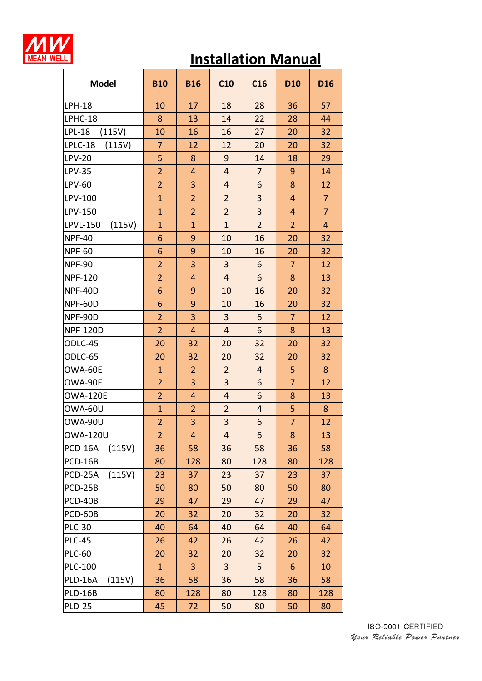

| <b>Model</b>              | <b>B10</b>     | <b>B16</b>     | C10            | C16                     | <b>D10</b>     | <b>D16</b>     |
|---------------------------|----------------|----------------|----------------|-------------------------|----------------|----------------|
| <b>LPH-18</b>             | 10             | 17             | 18             | 28                      | 36             | 57             |
| LPHC-18                   | 8              | 13             | 14             | 22                      | 28             | 44             |
| <b>LPL-18</b><br>(115V)   | 10             | 16             | 16             | 27                      | 20             | 32             |
| LPLC-18<br>(115V)         | $\overline{7}$ | 12             | 12             | 20                      | 20             | 32             |
| <b>LPV-20</b>             | 5              | 8              | 9              | 14                      | 18             | 29             |
| <b>LPV-35</b>             | $\overline{2}$ | 4              | $\overline{4}$ | $\overline{7}$          | $\overline{9}$ | 14             |
| LPV-60                    | $\overline{2}$ | 3              | $\overline{4}$ | 6                       | 8              | 12             |
| LPV-100                   | $\overline{1}$ | $\overline{2}$ | $\overline{2}$ | 3                       | $\overline{4}$ | $\overline{7}$ |
| LPV-150                   | $\mathbf{1}$   | $\overline{2}$ | $\overline{2}$ | 3                       | $\overline{4}$ | $\overline{7}$ |
| <b>LPVL-150</b><br>(115V) | $\overline{1}$ | $\mathbf{1}$   | $\mathbf{1}$   | $\overline{2}$          | $\overline{2}$ | 4              |
| <b>NPF-40</b>             | 6              | 9              | 10             | 16                      | 20             | 32             |
| <b>NPF-60</b>             | 6              | 9              | 10             | 16                      | 20             | 32             |
| <b>NPF-90</b>             | $\overline{2}$ | 3              | 3              | 6                       | 7              | 12             |
| <b>NPF-120</b>            | $\overline{2}$ | $\overline{4}$ | $\overline{4}$ | 6                       | 8              | 13             |
| NPF-40D                   | 6              | 9              | 10             | 16                      | 20             | 32             |
| NPF-60D                   | 6              | 9              | 10             | 16                      | 20             | 32             |
| NPF-90D                   | $\overline{2}$ | 3              | 3              | 6                       | 7              | 12             |
| <b>NPF-120D</b>           | $\overline{2}$ | $\overline{4}$ | $\overline{4}$ | 6                       | 8              | 13             |
| ODLC-45                   | 20             | 32             | 20             | 32                      | 20             | 32             |
| ODLC-65                   | 20             | 32             | 20             | 32                      | 20             | 32             |
| OWA-60E                   | $\mathbf{1}$   | $\overline{2}$ | $\overline{2}$ | $\overline{4}$          | 5              | 8              |
| OWA-90E                   | $\overline{2}$ | 3              | 3              | 6                       | $\overline{7}$ | 12             |
| <b>OWA-120E</b>           | $\overline{2}$ | 4              | $\overline{4}$ | 6                       | 8              | 13             |
| OWA-60U                   | $\overline{1}$ | $\overline{2}$ | $\overline{2}$ | $\overline{\mathbf{r}}$ | 5              | 8              |
| OWA-90U                   | $\overline{2}$ | 3              | 3              | 6                       | $\overline{7}$ | 12             |
| <b>OWA-120U</b>           | 2              | 4              | 4              | 6                       | 8              | 13             |
| PCD-16A<br>(115V)         | 36             | 58             | 36             | 58                      | 36             | 58             |
| <b>PCD-16B</b>            | 80             | 128            | 80             | 128                     | 80             | 128            |
| (115V)<br>PCD-25A         | 23             | 37             | 23             | 37                      | 23             | 37             |
| <b>PCD-25B</b>            | 50             | 80             | 50             | 80                      | 50             | 80             |
| PCD-40B                   | 29             | 47             | 29             | 47                      | 29             | 47             |
| PCD-60B                   | 20             | 32             | 20             | 32                      | 20             | 32             |
| <b>PLC-30</b>             | 40             | 64             | 40             | 64                      | 40             | 64             |
| <b>PLC-45</b>             | 26             | 42             | 26             | 42                      | 26             | 42             |
| <b>PLC-60</b>             | 20             | 32             | 20             | 32                      | 20             | 32             |
| <b>PLC-100</b>            | $\mathbf{1}$   | 3              | 3              | 5                       | 6              | 10             |
| PLD-16A<br>(115V)         | 36             | 58             | 36             | 58                      | 36             | 58             |
| <b>PLD-16B</b>            | 80             | 128            | 80             | 128                     | 80             | 128            |
| <b>PLD-25</b>             | 45             | 72             | 50             | 80                      | 50             | 80             |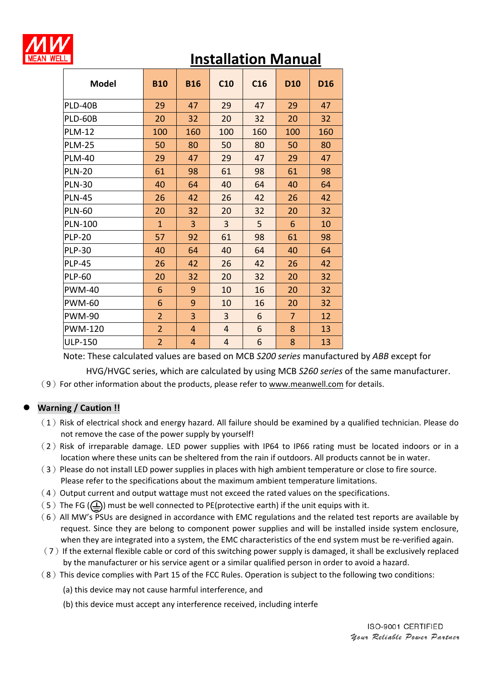

| <b>Model</b>   | <b>B10</b>     | <b>B16</b>     | C10            | C16 | D <sub>10</sub> | D <sub>16</sub> |
|----------------|----------------|----------------|----------------|-----|-----------------|-----------------|
| <b>PLD-40B</b> | 29             | 47             | 29             | 47  | 29              | 47              |
| PLD-60B        | 20             | 32             | 20             | 32  | 20              | 32              |
| <b>PLM-12</b>  | 100            | 160            | 100            | 160 | 100             | 160             |
| <b>PLM-25</b>  | 50             | 80             | 50             | 80  | 50              | 80              |
| <b>PLM-40</b>  | 29             | 47             | 29             | 47  | 29              | 47              |
| <b>PLN-20</b>  | 61             | 98             | 61             | 98  | 61              | 98              |
| <b>PLN-30</b>  | 40             | 64             | 40             | 64  | 40              | 64              |
| <b>PLN-45</b>  | 26             | 42             | 26             | 42  | 26              | 42              |
| <b>PLN-60</b>  | 20             | 32             | 20             | 32  | 20              | 32              |
| <b>PLN-100</b> | $\overline{1}$ | 3              | 3              | 5   | 6               | 10              |
| <b>PLP-20</b>  | 57             | 92             | 61             | 98  | 61              | 98              |
| <b>PLP-30</b>  | 40             | 64             | 40             | 64  | 40              | 64              |
| <b>PLP-45</b>  | 26             | 42             | 26             | 42  | 26              | 42              |
| <b>PLP-60</b>  | 20             | 32             | 20             | 32  | 20              | 32              |
| <b>PWM-40</b>  | 6              | 9              | 10             | 16  | 20              | 32              |
| <b>PWM-60</b>  | 6              | 9              | 10             | 16  | 20              | 32              |
| <b>PWM-90</b>  | $\overline{2}$ | 3              | 3              | 6   | $\overline{7}$  | 12              |
| <b>PWM-120</b> | $\overline{2}$ | $\overline{4}$ | $\overline{4}$ | 6   | 8               | 13              |
| <b>ULP-150</b> | $\overline{2}$ | $\overline{4}$ | $\overline{4}$ | 6   | 8               | 13              |

Note: These calculated values are based on MCB *S200 series* manufactured by *ABB* except for

HVG/HVGC series, which are calculated by using MCB *S260 series* of the same manufacturer.

(9) For other information about the products, please refer to www.meanwell.com for details.

## **Warning / Caution !!**

- $(1)$  Risk of electrical shock and energy hazard. All failure should be examined by a qualified technician. Please do not remove the case of the power supply by yourself!
- (2) Risk of irreparable damage. LED power supplies with IP64 to IP66 rating must be located indoors or in a location where these units can be sheltered from the rain if outdoors. All products cannot be in water.
- (3)Please do not install LED power supplies in places with high ambient temperature or close to fire source. Please refer to the specifications about the maximum ambient temperature limitations.
- $(4)$  Output current and output wattage must not exceed the rated values on the specifications.
- (5) The FG ( $\left(\frac{\Gamma}{\Gamma}\right)$ ) must be well connected to PE(protective earth) if the unit equips with it.
- $(6)$  All MW's PSUs are designed in accordance with EMC regulations and the related test reports are available by request. Since they are belong to component power supplies and will be installed inside system enclosure, when they are integrated into a system, the EMC characteristics of the end system must be re-verified again.
- $(7)$  If the external flexible cable or cord of this switching power supply is damaged, it shall be exclusively replaced by the manufacturer or his service agent or a similar qualified person in order to avoid a hazard.
- (8)This device complies with Part 15 of the FCC Rules. Operation is subject to the following two conditions:
	- (a) this device may not cause harmful interference, and
	- (b) this device must accept any interference received, including interfe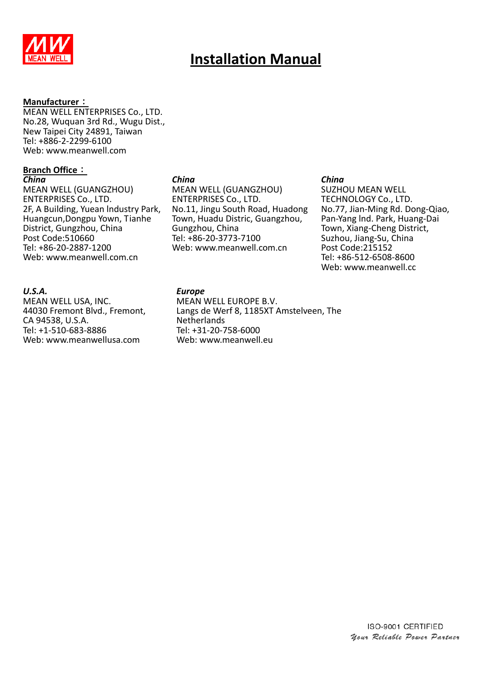

#### **Manufacturer**:

MEAN WELL ENTERPRISES Co., LTD. No.28, Wuquan 3rd Rd., Wugu Dist., New Taipei City 24891, Taiwan Tel: +886-2-2299-6100 Web: www.meanwell.com

#### **Branch Office**: *China*

MEAN WELL (GUANGZHOU) ENTERPRISES Co., LTD. 2F, A Building, Yuean lndustry Park, Huangcun,Dongpu Yown, Tianhe District, Gungzhou, China Post Code:510660 Tel: +86-20-2887-1200 Web: www.meanwell.com.cn

### *China*

MEAN WELL (GUANGZHOU) ENTERPRISES Co., LTD. No.11, Jingu South Road, Huadong Town, Huadu Distric, Guangzhou, Gungzhou, China Tel: +86-20-3773-7100 Web: www.meanwell.com.cn

#### *China*

SUZHOU MEAN WELL TECHNOLOGY Co., LTD. No.77, Jian-Ming Rd. Dong-Qiao, Pan-Yang lnd. Park, Huang-Dai Town, Xiang-Cheng District, Suzhou, Jiang-Su, China Post Code:215152 Tel: +86-512-6508-8600 Web: www.meanwell.cc

### *U.S.A.*

MEAN WELL USA, INC. 44030 Fremont Blvd., Fremont, CA 94538, U.S.A. Tel: +1-510-683-8886 Web: www.meanwellusa.com

#### *Europe*

MEAN WELL EUROPE B.V. Langs de Werf 8, 1185XT Amstelveen, The Netherlands Tel: +31-20-758-6000 Web: www.meanwell.eu